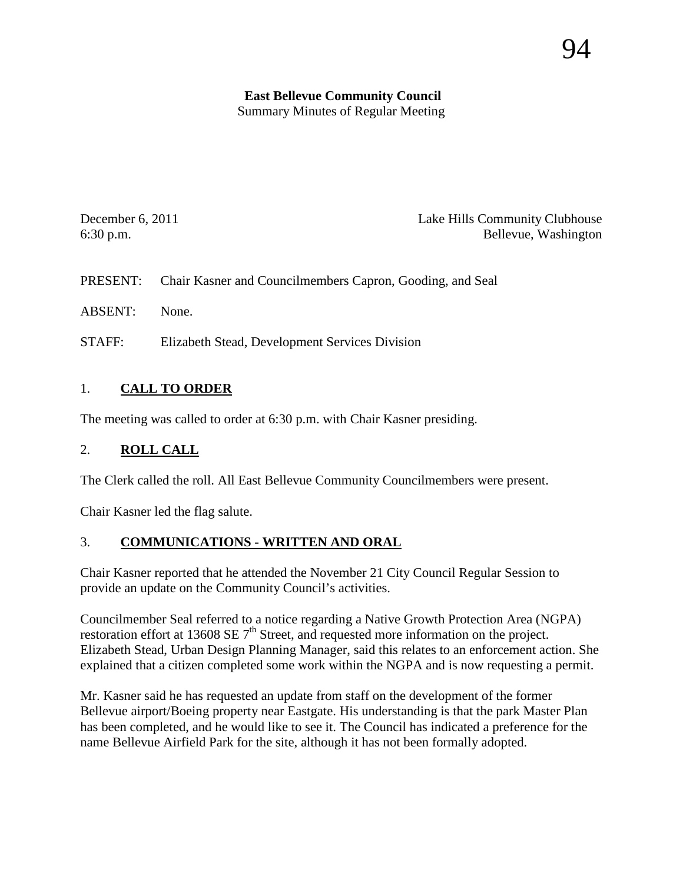# **East Bellevue Community Council**

Summary Minutes of Regular Meeting

December 6, 2011 Lake Hills Community Clubhouse 6:30 p.m. Bellevue, Washington

PRESENT: Chair Kasner and Councilmembers Capron, Gooding, and Seal

ABSENT: None.

STAFF: Elizabeth Stead, Development Services Division

## 1. **CALL TO ORDER**

The meeting was called to order at 6:30 p.m. with Chair Kasner presiding.

#### 2. **ROLL CALL**

The Clerk called the roll. All East Bellevue Community Councilmembers were present.

Chair Kasner led the flag salute.

#### 3. **COMMUNICATIONS - WRITTEN AND ORAL**

Chair Kasner reported that he attended the November 21 City Council Regular Session to provide an update on the Community Council's activities.

Councilmember Seal referred to a notice regarding a Native Growth Protection Area (NGPA) restoration effort at 13608 SE  $7<sup>th</sup>$  Street, and requested more information on the project. Elizabeth Stead, Urban Design Planning Manager, said this relates to an enforcement action. She explained that a citizen completed some work within the NGPA and is now requesting a permit.

Mr. Kasner said he has requested an update from staff on the development of the former Bellevue airport/Boeing property near Eastgate. His understanding is that the park Master Plan has been completed, and he would like to see it. The Council has indicated a preference for the name Bellevue Airfield Park for the site, although it has not been formally adopted.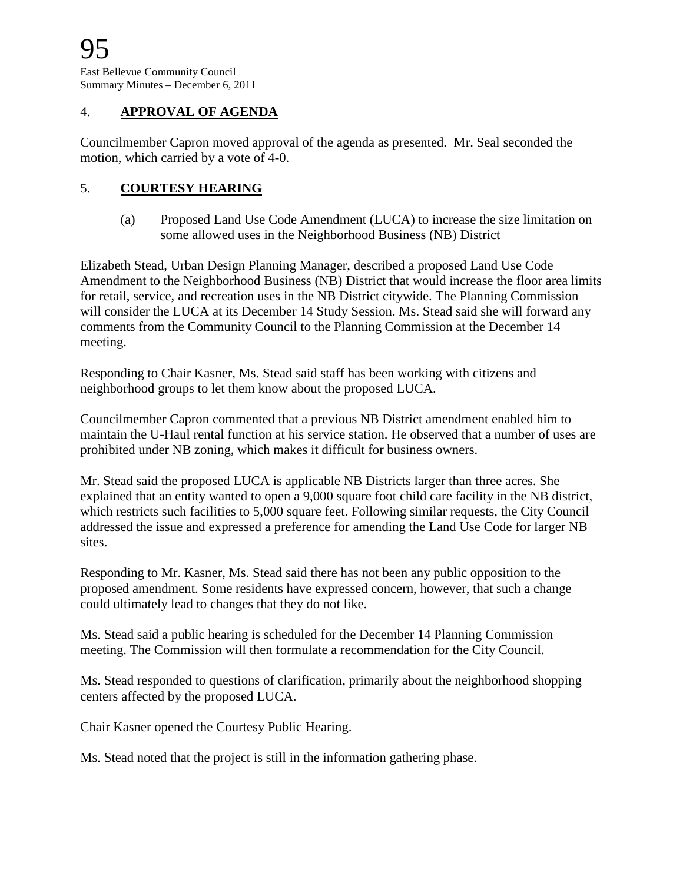#### 4. **APPROVAL OF AGENDA**

Councilmember Capron moved approval of the agenda as presented. Mr. Seal seconded the motion, which carried by a vote of 4-0.

#### 5. **COURTESY HEARING**

(a) Proposed Land Use Code Amendment (LUCA) to increase the size limitation on some allowed uses in the Neighborhood Business (NB) District

Elizabeth Stead, Urban Design Planning Manager, described a proposed Land Use Code Amendment to the Neighborhood Business (NB) District that would increase the floor area limits for retail, service, and recreation uses in the NB District citywide. The Planning Commission will consider the LUCA at its December 14 Study Session. Ms. Stead said she will forward any comments from the Community Council to the Planning Commission at the December 14 meeting.

Responding to Chair Kasner, Ms. Stead said staff has been working with citizens and neighborhood groups to let them know about the proposed LUCA.

Councilmember Capron commented that a previous NB District amendment enabled him to maintain the U-Haul rental function at his service station. He observed that a number of uses are prohibited under NB zoning, which makes it difficult for business owners.

Mr. Stead said the proposed LUCA is applicable NB Districts larger than three acres. She explained that an entity wanted to open a 9,000 square foot child care facility in the NB district, which restricts such facilities to 5,000 square feet. Following similar requests, the City Council addressed the issue and expressed a preference for amending the Land Use Code for larger NB sites.

Responding to Mr. Kasner, Ms. Stead said there has not been any public opposition to the proposed amendment. Some residents have expressed concern, however, that such a change could ultimately lead to changes that they do not like.

Ms. Stead said a public hearing is scheduled for the December 14 Planning Commission meeting. The Commission will then formulate a recommendation for the City Council.

Ms. Stead responded to questions of clarification, primarily about the neighborhood shopping centers affected by the proposed LUCA.

Chair Kasner opened the Courtesy Public Hearing.

Ms. Stead noted that the project is still in the information gathering phase.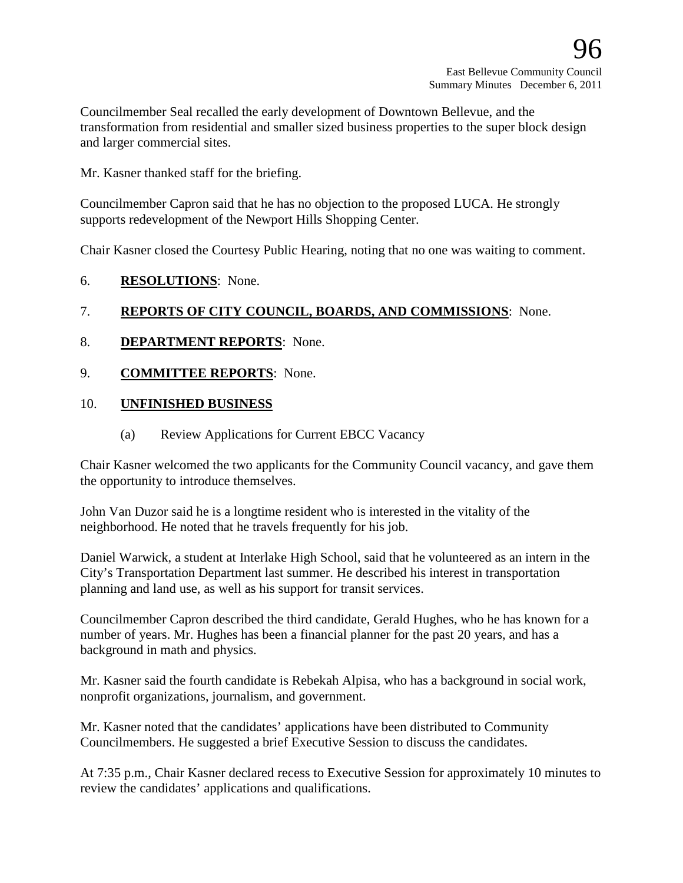Councilmember Seal recalled the early development of Downtown Bellevue, and the transformation from residential and smaller sized business properties to the super block design and larger commercial sites.

Mr. Kasner thanked staff for the briefing.

Councilmember Capron said that he has no objection to the proposed LUCA. He strongly supports redevelopment of the Newport Hills Shopping Center.

Chair Kasner closed the Courtesy Public Hearing, noting that no one was waiting to comment.

6. **RESOLUTIONS**: None.

## 7. **REPORTS OF CITY COUNCIL, BOARDS, AND COMMISSIONS**: None.

- 8. **DEPARTMENT REPORTS**: None.
- 9. **COMMITTEE REPORTS**: None.

#### 10. **UNFINISHED BUSINESS**

(a) Review Applications for Current EBCC Vacancy

Chair Kasner welcomed the two applicants for the Community Council vacancy, and gave them the opportunity to introduce themselves.

John Van Duzor said he is a longtime resident who is interested in the vitality of the neighborhood. He noted that he travels frequently for his job.

Daniel Warwick, a student at Interlake High School, said that he volunteered as an intern in the City's Transportation Department last summer. He described his interest in transportation planning and land use, as well as his support for transit services.

Councilmember Capron described the third candidate, Gerald Hughes, who he has known for a number of years. Mr. Hughes has been a financial planner for the past 20 years, and has a background in math and physics.

Mr. Kasner said the fourth candidate is Rebekah Alpisa, who has a background in social work, nonprofit organizations, journalism, and government.

Mr. Kasner noted that the candidates' applications have been distributed to Community Councilmembers. He suggested a brief Executive Session to discuss the candidates.

At 7:35 p.m., Chair Kasner declared recess to Executive Session for approximately 10 minutes to review the candidates' applications and qualifications.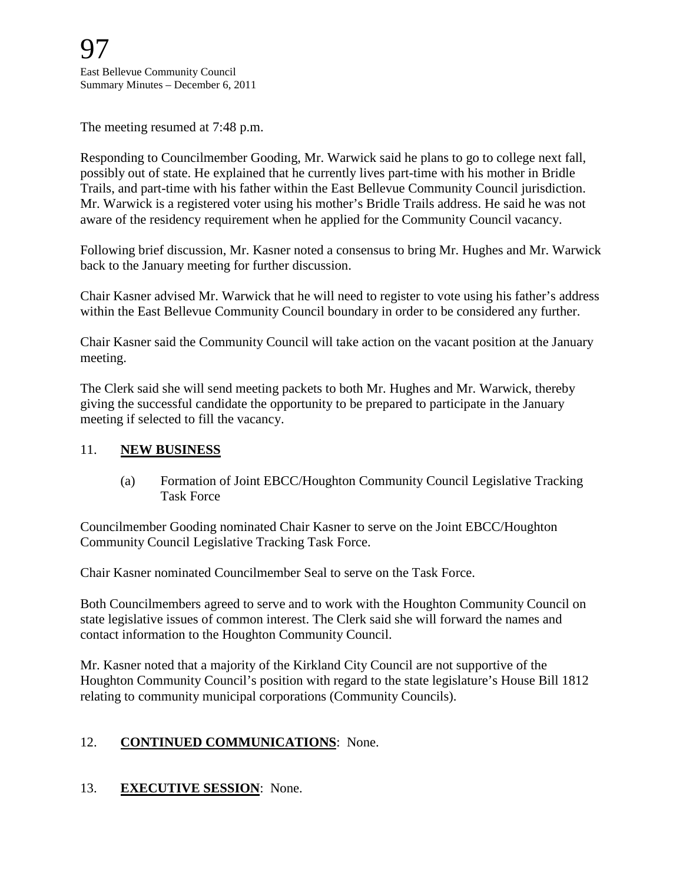The meeting resumed at 7:48 p.m.

Responding to Councilmember Gooding, Mr. Warwick said he plans to go to college next fall, possibly out of state. He explained that he currently lives part-time with his mother in Bridle Trails, and part-time with his father within the East Bellevue Community Council jurisdiction. Mr. Warwick is a registered voter using his mother's Bridle Trails address. He said he was not aware of the residency requirement when he applied for the Community Council vacancy.

Following brief discussion, Mr. Kasner noted a consensus to bring Mr. Hughes and Mr. Warwick back to the January meeting for further discussion.

Chair Kasner advised Mr. Warwick that he will need to register to vote using his father's address within the East Bellevue Community Council boundary in order to be considered any further.

Chair Kasner said the Community Council will take action on the vacant position at the January meeting.

The Clerk said she will send meeting packets to both Mr. Hughes and Mr. Warwick, thereby giving the successful candidate the opportunity to be prepared to participate in the January meeting if selected to fill the vacancy.

#### 11. **NEW BUSINESS**

(a) Formation of Joint EBCC/Houghton Community Council Legislative Tracking Task Force

Councilmember Gooding nominated Chair Kasner to serve on the Joint EBCC/Houghton Community Council Legislative Tracking Task Force.

Chair Kasner nominated Councilmember Seal to serve on the Task Force.

Both Councilmembers agreed to serve and to work with the Houghton Community Council on state legislative issues of common interest. The Clerk said she will forward the names and contact information to the Houghton Community Council.

Mr. Kasner noted that a majority of the Kirkland City Council are not supportive of the Houghton Community Council's position with regard to the state legislature's House Bill 1812 relating to community municipal corporations (Community Councils).

# 12. **CONTINUED COMMUNICATIONS**: None.

# 13. **EXECUTIVE SESSION**: None.